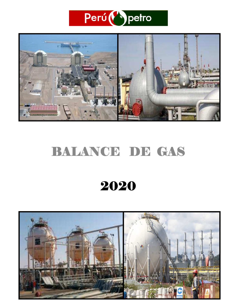



# BALANCE DE GAS

# 2020

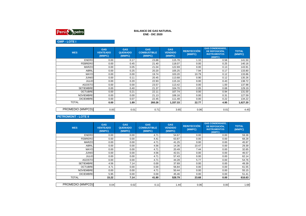

## **GMP - LOTE I**

| <b>MES</b>       | <b>GAS</b><br><b>VENTEADO</b><br>(MMPC) | <b>GAS</b><br><b>QUEMADO</b><br>(MMPC) | <b>GAS</b><br><b>COMBUSTIBLE</b><br>(MMPC) | <b>GAS</b><br><b>VENDIDO</b><br>(MMPC) | <b>REINYECCIÓN</b><br>(MMPC) | <b>GAS CONDENSADO,</b><br>DE REPOSICIÓN.<br><b>INSTRUMENTOS</b><br>(MMPC) | <b>TOTAL</b><br>(MMPC) |
|------------------|-----------------------------------------|----------------------------------------|--------------------------------------------|----------------------------------------|------------------------------|---------------------------------------------------------------------------|------------------------|
| <b>ENERO</b>     | 0.00                                    | 0.17                                   | 23.88                                      | 115.78                                 | 1.10                         | 0.58                                                                      | 141.50                 |
| <b>FEBRERO</b>   | 0.00                                    | 0.45                                   | 21.40                                      | 118.07                                 | 0.00                         | 0.25                                                                      | 140.16                 |
| <b>MARZO</b>     | 0.00                                    | 0.05                                   | 21.04                                      | 122.69                                 | 0.00                         | 0.13                                                                      | 143.91                 |
| <b>ABRIL</b>     | 0.00                                    | 0.25                                   | 20.20                                      | 105.25                                 | 7.94                         | 0.17                                                                      | 133.80                 |
| <b>MAYO</b>      | 0.00                                    | 0.00                                   | 19.74                                      | 103.20                                 | 10.79                        | 0.12                                                                      | 133.86                 |
| <b>JUNIO</b>     | 0.00                                    | 0.11                                   | 20.45                                      | 113.68                                 | 0.90                         | 0.12                                                                      | 135.26                 |
| <b>JULIO</b>     | 0.00                                    | 0.20                                   | 22.93                                      | 115.16                                 | 0.00                         | 0.43                                                                      | 138.72                 |
| <b>AGOSTO</b>    | 0.00                                    | 0.00                                   | 23.57                                      | 113.42                                 | 0.00                         | 1.00                                                                      | 137.98                 |
| <b>SETIEMBRE</b> | 0.00                                    | 0.40                                   | 21.37                                      | 104.70                                 | 2.05                         | 0.68                                                                      | 129.19                 |
| <b>OCTUBRE</b>   | 0.00                                    | 0.21                                   | 22.11                                      | 107.74                                 | 0.00                         | 0.94                                                                      | 131.00                 |
| <b>NOVIEMBRE</b> | 0.00                                    | 0.00                                   | 21.13                                      | 106.16                                 | 0.00                         | 0.31                                                                      | 127.59                 |
| <b>DICIEMBRE</b> | 0.00                                    | 0.07                                   | 22.45                                      | 111.48                                 | 0.00                         | 0.22                                                                      | 134.22                 |
| <b>TOTAL</b>     | 0.00                                    | 1.89                                   | 260.26                                     | 1,337.33                               | 22.77                        | 4.95                                                                      | 1,627.20               |
|                  |                                         |                                        |                                            |                                        |                              |                                                                           |                        |
| PROMEDIO (MMPCD) | 0.00                                    | 0.01                                   | 0.71                                       | 3.65                                   | 0.06                         | 0.01                                                                      | 4.45                   |

## **PETROMONT - LOTE II**

| <b>MES</b>       | <b>GAS</b><br><b>VENTEADO</b><br>(MMPC) | <b>GAS</b><br><b>QUEMADO</b><br>(MMPC) | <b>GAS</b><br><b>COMBUSTIBLE</b><br>(MMPC) | <b>GAS</b><br><b>VENDIDO</b><br>(MMPC) | <b>REINYECCIÓN</b><br>(MMPC) | <b>GAS CONDENSADO,</b><br>DE REPOSICIÓN,<br><b>INSTRUMENTOS</b><br>(MMPC) | <b>TOTAL</b><br>(MMPC) |
|------------------|-----------------------------------------|----------------------------------------|--------------------------------------------|----------------------------------------|------------------------------|---------------------------------------------------------------------------|------------------------|
| <b>ENERO</b>     | 0.00                                    | 0.00                                   | 4.71                                       | 54.67                                  | 0.00                         | 0.00                                                                      | 59.38                  |
| <b>FEBRERO</b>   | 0.00                                    | 0.00                                   | 4.41                                       | 63.87                                  | 0.00                         | 0.00                                                                      | 68.28                  |
| <b>MARZO</b>     | 0.00                                    | 0.00                                   | 4.71                                       | 41.25                                  | 0.00                         | 0.00                                                                      | 45.97                  |
| ABRIL            | 0.00                                    | 0.00                                   | 4.56                                       | 14.36                                  | 10.47                        | 0.00                                                                      | 29.39                  |
| <b>MAYO</b>      | 0.00                                    | 0.00                                   | 4.71                                       | 20.49                                  | 7.44                         | 0.00                                                                      | 32.65                  |
| <b>JUNIO</b>     | 0.00                                    | 0.00                                   | 4.56                                       | 42.01                                  | 0.00                         | 0.00                                                                      | 46.57                  |
| <b>JULIO</b>     | 0.00                                    | 0.00                                   | 4.71                                       | 57.43                                  | 0.00                         | 0.00                                                                      | 62.14                  |
| <b>AGOSTO</b>    | 0.00                                    | 0.00                                   | 4.71                                       | 44.28                                  | 5.77                         | 0.00                                                                      | 54.76                  |
| <b>SETIEMBRE</b> | 4.56                                    | 7.14                                   | 0.00                                       | 37.69                                  | 0.00                         | 0.00                                                                      | 49.39                  |
| <b>OCTUBRE</b>   | 4.71                                    | 0.00                                   | 0.00                                       | 56.84                                  | 0.00                         | 0.00                                                                      | 61.55                  |
| <b>NOVIEMBRE</b> | 0.00                                    | 0.00                                   | 4.71                                       | 50.44                                  | 0.00                         | 0.00                                                                      | 55.15                  |
| <b>DICIEMBRE</b> | 5.95                                    | 0.00                                   | 0.00                                       | 45.46                                  | 0.00                         | 0.00                                                                      | 51.41                  |
| <b>TOTAL</b>     | 15.22                                   | 7.14                                   | 41.80                                      | 528.79                                 | 23.68                        | 0.00                                                                      | 616.63                 |
|                  |                                         |                                        |                                            |                                        |                              |                                                                           |                        |
| PROMEDIO (MMPCD) | 0.04                                    | 0.02                                   | 0.11                                       | 1.44                                   | 0.06                         | 0.00                                                                      | 1.68                   |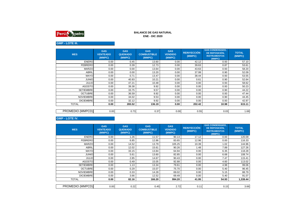

# **GMP - LOTE III.**

| <b>MES</b>       | <b>GAS</b><br><b>VENTEADO</b><br>(MMPC) | <b>GAS</b><br><b>QUEMADO</b><br>(MMPC) | <b>GAS</b><br><b>COMBUSTIBLE</b><br>(MMPC) | <b>GAS</b><br><b>VENDIDO</b><br>(MMPC) | <b>REINYECCIÓN</b><br>(MMPC) | <b>GAS CONDENSADO,</b><br>DE REPOSICIÓN,<br><b>INSTRUMENTOS</b><br>(MMPC) | <b>TOTAL</b><br>(MMPC) |
|------------------|-----------------------------------------|----------------------------------------|--------------------------------------------|----------------------------------------|------------------------------|---------------------------------------------------------------------------|------------------------|
| <b>ENERO</b>     | 0.00                                    | 0.45                                   | 13.60                                      | 0.00                                   | 42.12                        | 0.93                                                                      | 57.10                  |
| <b>FEBRERO</b>   | 0.00                                    | 0.39                                   | 12.73                                      | 0.00                                   | 39.63                        | 0.87                                                                      | 53.61                  |
| <b>MARZO</b>     | 0.00                                    | 0.00                                   | 13.64                                      | 0.00                                   | 43.63                        | 0.93                                                                      | 58.20                  |
| <b>ABRIL</b>     | 0.00                                    | 0.00                                   | 13.20                                      | 0.00                                   | 37.99                        | 0.90                                                                      | 52.09                  |
| <b>MAYO</b>      | 0.00                                    | 0.71                                   | 13.47                                      | 0.00                                   | 38.44                        | 0.93                                                                      | 53.55                  |
| <b>JUNIO</b>     | 0.00                                    | 40.93                                  | 10.21                                      | 0.00                                   | 0.61                         | 0.90                                                                      | 52.64                  |
| <b>JULIO</b>     | 0.00                                    | 47.21                                  | 10.48                                      | 0.00                                   | 0.00                         | 0.93                                                                      | 58.62                  |
| <b>AGOSTO</b>    | 0.00                                    | 39.38                                  | 9.92                                       | 0.00                                   | 0.00                         | 0.93                                                                      | 50.23                  |
| <b>SETIEMBRE</b> | 0.00                                    | 33.75                                  | 9.57                                       | 0.00                                   | 0.00                         | 0.90                                                                      | 44.22                  |
| <b>OCTUBRE</b>   | 0.00                                    | 36.59                                  | 9.92                                       | 0.00                                   | 0.00                         | 0.93                                                                      | 47.44                  |
| <b>NOVIEMBRE</b> | 0.00                                    | 34.02                                  | 9.53                                       | 0.00                                   | 0.00                         | 0.90                                                                      | 44.45                  |
| <b>DICIEMBRE</b> | 0.00                                    | 32.12                                  | 9.92                                       | 0.00                                   | 0.00                         | 0.93                                                                      | 42.97                  |
| <b>TOTAL</b>     | 0.00                                    | 265.52                                 | 136.19                                     | 0.00                                   | 202.42                       | 10.98                                                                     | 615.11                 |
|                  |                                         |                                        |                                            |                                        |                              |                                                                           |                        |
| PROMEDIO (MMPCD) | 0.00                                    | 0.73                                   | 0.37                                       | 0.00                                   | 0.55                         | 0.03                                                                      | 1.68                   |

## **GMP - LOTE IV.**

| <b>MES</b>       | <b>GAS</b><br><b>VENTEADO</b><br>(MMPC) | <b>GAS</b><br><b>QUEMADO</b><br>(MMPC) | <b>GAS</b><br><b>COMBUSTIBLE</b><br>(MMPC) | <b>GAS</b><br><b>VENDIDO</b><br>(MMPC) | <b>REINYECCIÓN</b><br>(MMPC) | <b>GAS CONDENSADO,</b><br>DE REPOSICIÓN,<br><b>INSTRUMENTOS</b><br>(MMPC) | <b>TOTAL</b><br>(MMPC) |
|------------------|-----------------------------------------|----------------------------------------|--------------------------------------------|----------------------------------------|------------------------------|---------------------------------------------------------------------------|------------------------|
| <b>ENERO</b>     | 0.00                                    | 1.26                                   | 11.57                                      | 90.13                                  | 17.12                        | 0.00                                                                      | 120.09                 |
| <b>FEBRERO</b>   | 0.00                                    | 6.85                                   | 12.86                                      | 83.65                                  | 12.96                        | 0.00                                                                      | 116.33                 |
| <b>MARZO</b>     | 0.00                                    | 14.52                                  | 13.79                                      | 105.25                                 | 10.39                        | 1.02                                                                      | 144.96                 |
| <b>ABRIL</b>     | 0.00                                    | 12.02                                  | 15.61                                      | 90.26                                  | 1.48                         | 7.89                                                                      | 127.26                 |
| <b>MAYO</b>      | 0.00                                    | 33.15                                  | 13.84                                      | 64.94                                  | 0.00                         | 6.35                                                                      | 118.28                 |
| <b>JUNIO</b>     | 0.00                                    | 5.61                                   | 13.60                                      | 82.85                                  | 0.00                         | 6.68                                                                      | 108.74                 |
| <b>JULIO</b>     | 0.00                                    | 2.85                                   | 14.67                                      | 90.43                                  | 0.00                         | 7.47                                                                      | 115.41                 |
| <b>AGOSTO</b>    | 0.00                                    | 0.49                                   | 15.05                                      | 92.88                                  | 0.00                         | 4.60                                                                      | 113.02                 |
| <b>SETIEMBRE</b> | 0.00                                    | 1.13                                   | 13.34                                      | 79.61                                  | 0.00                         | 4.98                                                                      | 99.06                  |
| <b>OCTUBRE</b>   | 0.00                                    | 0.29                                   | 15.07                                      | 75.70                                  | 0.00                         | 5.40                                                                      | 96.45                  |
| <b>NOVIEMBRE</b> | 0.00                                    | 0.33                                   | 14.28                                      | 69.02                                  | 0.00                         | 5.15                                                                      | 88.79                  |
| <b>DICIEMBRE</b> | 0.00                                    | 3.66                                   | 12.52                                      | 69.49                                  | 0.00                         | 5.40                                                                      | 91.07                  |
| <b>TOTAL</b>     | 0.00                                    | 82.16                                  | 166.20                                     | 994.20                                 | 41.95                        | 54.93                                                                     | 1,339.44               |
|                  |                                         |                                        |                                            |                                        |                              |                                                                           |                        |
| PROMEDIO (MMPCD) | 0.00                                    | 0.22                                   | 0.45                                       | 2.72                                   | 0.11                         | 0.15                                                                      | 3.66                   |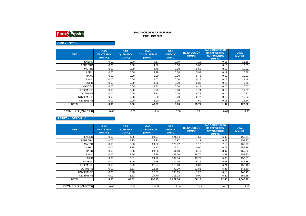

# **GMP - LOTE V**

| <b>MES</b>       | <b>GAS</b><br><b>VENTEADO</b><br>(MMPC) | <b>GAS</b><br><b>QUEMADO</b><br>(MMPC) | <b>GAS</b><br><b>COMBUSTIBLE</b><br>(MMPC) | <b>GAS</b><br><b>VENDIDO</b><br>(MMPC) | <b>REINYECCIÓN</b><br>(MMPC) | <b>GAS CONDENSADO,</b><br>DE REPOSICIÓN.<br><b>INSTRUMENTOS</b><br>(MMPC) | <b>TOTAL</b><br>(MMPC) |
|------------------|-----------------------------------------|----------------------------------------|--------------------------------------------|----------------------------------------|------------------------------|---------------------------------------------------------------------------|------------------------|
| <b>ENERO</b>     | 0.00                                    | 0.00                                   | 4.17                                       | 0.00                                   | 7.19                         | 0.18                                                                      | 11.55                  |
| <b>FEBRERO</b>   | 0.00                                    | 0.00                                   | 4.08                                       | 0.00                                   | 5.60                         | 0.16                                                                      | 9.83                   |
| <b>MARZO</b>     | 0.00                                    | 0.00                                   | 4.40                                       | 0.00                                   | 5.66                         | 0.17                                                                      | 10.22                  |
| <b>ABRIL</b>     | 0.00                                    | 0.00                                   | 4.28                                       | 0.00                                   | 5.93                         | 0.17                                                                      | 10.38                  |
| <b>MAYO</b>      | 0.00                                    | 0.00                                   | 5.00                                       | 0.00                                   | 5.73                         | 0.19                                                                      | 10.91                  |
| <b>JUNIO</b>     | 0.00                                    | 0.00                                   | 4.07                                       | 0.00                                   | 5.26                         | 0.16                                                                      | 9.48                   |
| <b>JULIO</b>     | 0.00                                    | 0.00                                   | 4.26                                       | 0.00                                   | 5.35                         | 0.15                                                                      | 9.76                   |
| <b>AGOSTO</b>    | 0.00                                    | 0.00                                   | 4.32                                       | 0.00                                   | 6.14                         | 0.16                                                                      | 10.62                  |
| <b>SETIEMBRE</b> | 0.00                                    | 0.00                                   | 3.79                                       | 0.00                                   | 7.74                         | 0.16                                                                      | 11.69                  |
| <b>OCTUBRE</b>   | 0.00                                    | 0.00                                   | 3.83                                       | 0.00                                   | 6.75                         | 0.14                                                                      | 10.72                  |
| <b>NOVIEMBRE</b> | 0.00                                    | 0.00                                   | 3.90                                       | 0.00                                   | 6.77                         | 0.16                                                                      | 10.82                  |
| <b>DICIEMBRE</b> | 0.00                                    | 0.00                                   | 3.90                                       | 0.00                                   | 7.60                         | 0.15                                                                      | 11.64                  |
| <b>TOTAL</b>     | 0.00                                    | 0.00                                   | 49.97                                      | 0.00                                   | 75.71                        | 1.94                                                                      | 127.62                 |
|                  |                                         |                                        |                                            |                                        |                              |                                                                           |                        |
| PROMEDIO (MMPCD) | 0.00                                    | 0.00                                   | 0.14                                       | 0.00                                   | 0.21                         | 0.01                                                                      | 0.35                   |

## **SAPET - LOTE VII\_VI**

| <b>MES</b>       | <b>GAS</b><br><b>VENTEADO</b><br>(MMPC) | <b>GAS</b><br><b>QUEMADO</b><br>(MMPC) | <b>GAS</b><br><b>COMBUSTIBLE</b><br>(MMPC) | <b>GAS</b><br><b>VENDIDO</b><br>(MMPC) | <b>REINYECCIÓN</b><br>(MMPC) | <b>GAS CONDENSADO,</b><br>DE REPOSICIÓN,<br><b>INSTRUMENTOS</b><br>(MMPC) | <b>TOTAL</b><br>(MMPC) |
|------------------|-----------------------------------------|----------------------------------------|--------------------------------------------|----------------------------------------|------------------------------|---------------------------------------------------------------------------|------------------------|
| <b>ENERO</b>     | 0.00                                    | 4.36                                   | 24.97                                      | 121.84                                 | 4.53                         | 6.90                                                                      | 162.61                 |
| <b>FEBRERO</b>   | 0.00                                    | 3.95                                   | 22.93                                      | 116.97                                 | 3.29                         | 6.63                                                                      | 153.77                 |
| <b>MARZO</b>     | 0.00                                    | 3.93                                   | 24.62                                      | 126.92                                 | 1.12                         | 7.19                                                                      | 163.79                 |
| <b>ABRIL</b>     | 0.00                                    | 3.74                                   | 24.13                                      | 119.71                                 | 0.00                         | 6.79                                                                      | 154.36                 |
| <b>MAYO</b>      | 0.00                                    | 3.58                                   | 24.58                                      | 61.18                                  | 66.40                        | 3.47                                                                      | 159.20                 |
| <b>JUNIO</b>     | 0.00                                    | 3.56                                   | 23.98                                      | 88.10                                  | 38.70                        | 4.99                                                                      | 159.33                 |
| <b>JULIO</b>     | 0.00                                    | 3.61                                   | 24.72                                      | 102.34                                 | 13.73                        | 5.80                                                                      | 150.21                 |
| <b>AGOSTO</b>    | 0.00                                    | 3.49                                   | 24.65                                      | 104.95                                 | 5.32                         | 5.95                                                                      | 144.35                 |
| <b>SETIEMBRE</b> | 0.00                                    | 3.39                                   | 23.67                                      | 118.40                                 | 0.00                         | 6.71                                                                      | 152.16                 |
| <b>OCTUBRE</b>   | 0.00                                    | 3.33                                   | 23.85                                      | 92.29                                  | 21.81                        | 5.23                                                                      | 146.50                 |
| <b>NOVIEMBRE</b> | 0.00                                    | 3.28                                   | 23.67                                      | 108.15                                 | 1.27                         | 6.13                                                                      | 142.49                 |
| <b>DICIEMBRE</b> | 0.00                                    | 3.61                                   | 24.70                                      | 116.72                                 | 0.00                         | 6.62                                                                      | 151.65                 |
| <b>TOTAL</b>     | 0.00                                    | 43.82                                  | 290.47                                     | 1,277.56                               | 156.17                       | 72.40                                                                     | 1,840.42               |
|                  |                                         |                                        |                                            |                                        |                              |                                                                           |                        |
| PROMEDIO (MMPCD) | 0.00                                    | 0.12                                   | 0.79                                       | 3.49                                   | 0.43                         | 0.20                                                                      | 5.03                   |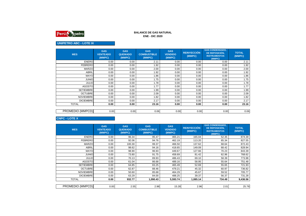

# **UNIPETRO ABC - LOTE IX**

| <b>MES</b>       | <b>GAS</b><br><b>VENTEADO</b><br>(MMPC) | <b>GAS</b><br><b>QUEMADO</b><br>(MMPC) | <b>GAS</b><br><b>COMBUSTIBLE</b><br>(MMPC) | <b>GAS</b><br><b>VENDIDO</b><br>(MMPC) | <b>REINYECCIÓN</b><br>(MMPC) | <b>GAS CONDENSADO,</b><br>DE REPOSICIÓN,<br><b>INSTRUMENTOS</b><br>(MMPC) | <b>TOTAL</b><br>(MMPC) |
|------------------|-----------------------------------------|----------------------------------------|--------------------------------------------|----------------------------------------|------------------------------|---------------------------------------------------------------------------|------------------------|
| <b>ENERO</b>     | 0.00                                    | 0.00                                   | 2.11                                       | 0.00                                   | 0.00                         | 0.00                                                                      | 2.11                   |
| <b>FEBRERO</b>   | 0.00                                    | 0.00                                   | 1.92                                       | 0.00                                   | 0.00                         | 0.00                                                                      | 1.92                   |
| <b>MARZO</b>     | 0.00                                    | 0.00                                   | 2.00                                       | 0.00                                   | 0.00                         | 0.00                                                                      | 2.00                   |
| <b>ABRIL</b>     | 0.00                                    | 0.00                                   | 1.92                                       | 0.00                                   | 0.00                         | 0.00                                                                      | 1.92                   |
| <b>MAYO</b>      | 0.00                                    | 0.00                                   | 1.86                                       | 0.00                                   | 0.00                         | 0.00                                                                      | 1.86                   |
| <b>JUNIO</b>     | 0.00                                    | 0.00                                   | 1.75                                       | 0.00                                   | 0.00                         | 0.00                                                                      | 1.75                   |
| <b>JULIO</b>     | 0.00                                    | 0.00                                   | 1.78                                       | 0.00                                   | 0.00                         | 0.00                                                                      | 1.78                   |
| <b>AGOSTO</b>    | 0.00                                    | 0.00                                   | 1.77                                       | 0.00                                   | 0.00                         | 0.00                                                                      | 1.77                   |
| <b>SETIEMBRE</b> | 0.00                                    | 0.00                                   | 1.99                                       | 0.00                                   | 0.00                         | 0.00                                                                      | 1.99                   |
| <b>OCTUBRE</b>   | 0.00                                    | 0.00                                   | 2.09                                       | 0.00                                   | 0.00                         | 0.00                                                                      | 2.09                   |
| <b>NOVIEMBRE</b> | 0.00                                    | 0.00                                   | 1.82                                       | 0.00                                   | 0.00                         | 0.00                                                                      | 1.82                   |
| <b>DICIEMBRE</b> | 0.00                                    | 0.00                                   | 2.17                                       | 0.00                                   | 0.00                         | 0.00                                                                      | 2.17                   |
| <b>TOTAL</b>     | 0.00                                    | 0.00                                   | 23.16                                      | 0.00                                   | 0.00                         | 0.00                                                                      | 23.16                  |
|                  |                                         |                                        |                                            |                                        |                              |                                                                           |                        |
| PROMEDIO (MMPCD) | 0.00                                    | 0.00                                   | 0.06                                       | 0.00                                   | 0.00                         | 0.00                                                                      | 0.06                   |

**CNPC - LOTE X** 

| <b>MES</b>       | <b>GAS</b><br><b>VENTEADO</b><br>(MMPC) | <b>GAS</b><br><b>QUEMADO</b><br>(MMPC) | <b>GAS</b><br><b>COMBUSTIBLE</b><br>(MMPC) | <b>GAS</b><br><b>VENDIDO</b><br>(MMPC) | <b>REINYECCIÓN</b><br>(MMPC) | <b>GAS CONDENSADO,</b><br>DE REPOSICIÓN,<br><b>INSTRUMENTOS</b><br>(MMPC) | <b>TOTAL</b><br>(MMPC) |
|------------------|-----------------------------------------|----------------------------------------|--------------------------------------------|----------------------------------------|------------------------------|---------------------------------------------------------------------------|------------------------|
| <b>ENERO</b>     | 0.00                                    | 96.34                                  | 95.47                                      | 465.21                                 | 165.04                       | 52.35                                                                     | 874.39                 |
| <b>FEBRERO</b>   | 0.00                                    | 92.06                                  | 94.76                                      | 462.19                                 | 113.20                       | 65.34                                                                     | 827.55                 |
| <b>MARZO</b>     | 0.00                                    | 100.30                                 | 99.37                                      | 466.50                                 | 137.62                       | 68.64                                                                     | 872.43                 |
| ABRIL            | 0.00                                    | 98.62                                  | 94.16                                      | 418.65                                 | 149.09                       | 68.42                                                                     | 828.94                 |
| <b>MAYO</b>      | 0.00                                    | 98.90                                  | 96.93                                      | 449.67                                 | 127.66                       | 70.23                                                                     | 843.39                 |
| <b>JUNIO</b>     | 0.00                                    | 73.80                                  | 91.75                                      | 458.69                                 | 81.42                        | 62.96                                                                     | 768.62                 |
| <b>JULIO</b>     | 0.00                                    | 70.13                                  | 89.93                                      | 486.43                                 | 69.10                        | 58.39                                                                     | 773.98                 |
| <b>AGOSTO</b>    | 0.00                                    | 61.04                                  | 86.68                                      | 489.16                                 | 58.95                        | 55.64                                                                     | 751.48                 |
| <b>SETIEMBRE</b> | 0.00                                    | 64.85                                  | 83.25                                      | 465.49                                 | 52.69                        | 55.65                                                                     | 721.93                 |
| <b>OCTUBRE</b>   | 0.00                                    | 62.87                                  | 88.46                                      | 479.21                                 | 45.32                        | 60.97                                                                     | 736.82                 |
| <b>NOVIEMBRE</b> | 0.00                                    | 50.60                                  | 85.68                                      | 464.29                                 | 45.67                        | 59.52                                                                     | 705.77                 |
| <b>DICIEMBRE</b> | 0.00                                    | 63.29                                  | 84.00                                      | 488.25                                 | 39.37                        | 56.37                                                                     | 731.28                 |
| <b>TOTAL</b>     | 0.00                                    | 932.77                                 | 1,090.43                                   | 5,593.74                               | 1,085.14                     | 734.49                                                                    | 9,436.56               |
|                  |                                         |                                        |                                            |                                        |                              |                                                                           |                        |
| PROMEDIO (MMPCD) | 0.00                                    | 2.55                                   | 2.98                                       | 15.28                                  | 2.96                         | 2.01                                                                      | 25.78                  |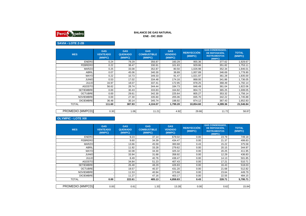

# **SAVIA - LOTE Z-2B**

| <b>MES</b>       | <b>GAS</b><br><b>VENTEADO</b><br>(MMPC) | <b>GAS</b><br><b>QUEMADO</b><br>(MMPC) | <b>GAS</b><br><b>COMBUSTIBLE</b><br>(MMPC) | <b>GAS</b><br><b>VENDIDO</b><br>(MMPC) | <b>REINYECCIÓN</b><br>(MMPC) | <b>GAS CONDENSADO,</b><br>DE REPOSICIÓN.<br><b>INSTRUMENTOS</b><br>(MMPC) | <b>TOTAL</b><br>(MMPC) |
|------------------|-----------------------------------------|----------------------------------------|--------------------------------------------|----------------------------------------|------------------------------|---------------------------------------------------------------------------|------------------------|
| <b>ENERO</b>     | 0.24                                    | 79.29                                  | 356.87                                     | 160.29                                 | 955.36                       | 377.62                                                                    | 1,929.67               |
| <b>FEBRERO</b>   | 0.22                                    | 38.47                                  | 330.91                                     | 101.83                                 | 929.86                       | 351.82                                                                    | 1,753.11               |
| <b>MARZO</b>     | 0.25                                    | 33.08                                  | 352.87                                     | 80.50                                  | 1,026.98                     | 352.34                                                                    | 1,846.01               |
| ABRIL            | 0.07                                    | 45.06                                  | 340.30                                     | 38.89                                  | 1,007.89                     | 346.69                                                                    | 1,778.90               |
| <b>MAYO</b>      | 0.22                                    | 10.73                                  | 349.33                                     | 91.47                                  | 1,021.97                     | 361.28                                                                    | 1,835.00               |
| <b>JUNIO</b>     | 0.53                                    | 17.02                                  | 334.48                                     | 174.16                                 | 868.00                       | 341.86                                                                    | 1,736.05               |
| <b>JULIO</b>     | 16.97                                   | 18.07                                  | 337.41                                     | 172.95                                 | 878.25                       | 368.49                                                                    | 1,792.14               |
| <b>AGOSTO</b>    | 56.62                                   | 28.74                                  | 344.44                                     | 184.73                                 | 846.49                       | 361.04                                                                    | 1,822.06               |
| <b>SETIEMBRE</b> | 0.00                                    | 30.43                                  | 333.83                                     | 164.82                                 | 804.72                       | 365.25                                                                    | 1,699.05               |
| <b>OCTUBRE</b>   | 0.00                                    | 29.61                                  | 342.30                                     | 225.64                                 | 805.27                       | 353.32                                                                    | 1,756.14               |
| <b>NOVIEMBRE</b> | 0.00                                    | 27.30                                  | 335.60                                     | 205.06                                 | 835.70                       | 342.22                                                                    | 1,745.88               |
| <b>DICIEMBRE</b> | 36.48                                   | 30.14                                  | 345.74                                     | 198.92                                 | 874.12                       | 367.43                                                                    | 1,852.83               |
| <b>TOTAL</b>     | 111.60                                  | 387.93                                 | 4,104.07                                   | 1,799.28                               | 10,854.60                    | 4,289.36                                                                  | 21,546.84              |
|                  |                                         |                                        |                                            |                                        |                              |                                                                           |                        |
| PROMEDIO (MMPCD) | 0.30                                    | 1.06                                   | 11.21                                      | 4.92                                   | 29.66                        | 11.72                                                                     | 58.87                  |

 **OLYMPIC - LOTE XIII**

| <b>MES</b>       | <b>GAS</b><br><b>VENTEADO</b><br>(MMPC) | <b>GAS</b><br><b>QUEMADO</b><br>(MMPC) | <b>GAS</b><br><b>COMBUSTIBLE</b><br>(MMPC) | <b>GAS</b><br><b>VENDIDO</b><br>(MMPC) | <b>REINYECCIÓN</b><br>(MMPC) | <b>GAS CONDENSADO.</b><br>DE REPOSICIÓN,<br><b>INSTRUMENTOS</b><br>(MMPC) | <b>TOTAL</b><br>(MMPC) |
|------------------|-----------------------------------------|----------------------------------------|--------------------------------------------|----------------------------------------|------------------------------|---------------------------------------------------------------------------|------------------------|
| <b>ENERO</b>     |                                         | 9.23                                   | 37.14                                      | 679.02                                 | 0.00                         | 23.79                                                                     | 749.18                 |
| <b>FEBRERO</b>   |                                         | 9.60                                   | 34.39                                      | 434.47                                 | 0.00                         | 21.37                                                                     | 499.83                 |
| <b>MARZO</b>     |                                         | 13.66                                  | 45.59                                      | 300.68                                 | 0.43                         | 15.22                                                                     | 375.58                 |
| <b>ABRIL</b>     |                                         | 11.92                                  | 33.28                                      | 279.62                                 | 0.00                         | 20.15                                                                     | 344.97                 |
| <b>MAYO</b>      |                                         | 32.08                                  | 34.30                                      | 325.32                                 | 0.00                         | 20.25                                                                     | 411.95                 |
| <b>JUNIO</b>     |                                         | 33.94                                  | 31.68                                      | 358.92                                 | 0.00                         | 12.29                                                                     | 436.83                 |
| <b>JULIO</b>     |                                         | 8.49                                   | 40.76                                      | 438.47                                 | 0.00                         | 14.13                                                                     | 501.85                 |
| <b>AGOSTO</b>    |                                         | 34.84                                  | 51.23                                      | 407.43                                 | 0.00                         | 17.21                                                                     | 510.71                 |
| <b>SETIEMBRE</b> |                                         | 26.48                                  | 48.29                                      | 426.83                                 | 0.00                         | 16.43                                                                     | 518.03                 |
| <b>OCTUBRE</b>   |                                         | 19.57                                  | 40.37                                      | 431.20                                 | 0.00                         | 21.68                                                                     | 512.82                 |
| <b>NOVIEMBRE</b> |                                         | 11.53                                  | 40.94                                      | 373.68                                 | 0.00                         | 23.64                                                                     | 449.79                 |
| <b>DICIEMBRE</b> |                                         | 11.27                                  | 47.16                                      | 403.17                                 | 0.00                         | 22.55                                                                     | 484.15                 |
| <b>TOTAL</b>     | 0.00                                    | 222.61                                 | 485.13                                     | 4,858.83                               | 0.43                         | 228.71                                                                    | 5,795.71               |
|                  |                                         |                                        |                                            |                                        |                              |                                                                           |                        |
| PROMEDIO (MMPCD) | 0.00                                    | 0.61                                   | 1.33                                       | 13.28                                  | 0.00                         | 0.62                                                                      | 15.84                  |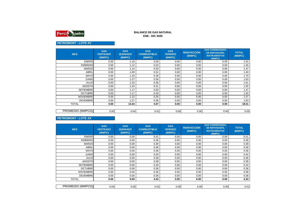

### **ENE - DIC 2020BALANCE DE GAS NATURAL**

# **PETROMONT - LOTE XV**

| <b>MES</b>       | <b>GAS</b><br><b>VENTEADO</b><br>(MMPC) | <b>GAS</b><br><b>QUEMADO</b><br>(MMPC) | <b>GAS</b><br><b>COMBUSTIBLE</b><br>(MMPC) | <b>GAS</b><br><b>VENDIDO</b><br>(MMPC) | <b>REINYECCIÓN</b><br>(MMPC) | <b>GAS CONDENSADO.</b><br>DE REPOSICIÓN.<br><b>INSTRUMENTOS</b><br>(MMPC) | <b>TOTAL</b><br>(MMPC) |
|------------------|-----------------------------------------|----------------------------------------|--------------------------------------------|----------------------------------------|------------------------------|---------------------------------------------------------------------------|------------------------|
| <b>ENERO</b>     | 0.00                                    | 1.16                                   | 0.36                                       | 0.00                                   | 0.00                         | 0.00                                                                      | 1.52                   |
| <b>FEBRERO</b>   | 0.00                                    | 1.12                                   | 0.33                                       | 0.00                                   | 0.00                         | 0.00                                                                      | 1.45                   |
| <b>MARZO</b>     | 0.00                                    | 1.14                                   | 0.33                                       | 0.00                                   | 0.00                         | 0.00                                                                      | 1.47                   |
| ABRIL            | 0.00                                    | 1.09                                   | 0.31                                       | 0.00                                   | 0.00                         | 0.00                                                                      | 1.40                   |
| <b>MAYO</b>      | 0.00                                    | 1.33                                   | 0.36                                       | 0.00                                   | 0.00                         | 0.00                                                                      | 1.70                   |
| <b>JUNIO</b>     | 0.00                                    | 1.27                                   | 0.36                                       | 0.00                                   | 0.00                         | 0.00                                                                      | 1.63                   |
| <b>JULIO</b>     | 0.00                                    | 1.25                                   | 0.36                                       | 0.00                                   | 0.00                         | 0.00                                                                      | 1.61                   |
| <b>AGOSTO</b>    | 0.00                                    | 1.24                                   | 0.31                                       | 0.00                                   | 0.00                         | 0.00                                                                      | 1.55                   |
| <b>SETIEMBRE</b> | 0.00                                    | 1.17                                   | 0.30                                       | 0.00                                   | 0.00                         | 0.00                                                                      | 1.47                   |
| <b>OCTUBRE</b>   | 0.00                                    | 1.17                                   | 0.33                                       | 0.00                                   | 0.00                         | 0.00                                                                      | 1.50                   |
| <b>NOVIEMBRE</b> | 0.00                                    | 1.22                                   | 0.35                                       | 0.00                                   | 0.00                         | 0.00                                                                      | 1.57                   |
| <b>DICIEMBRE</b> | 0.00                                    | 1.27                                   | 0.36                                       | 0.00                                   | 0.00                         | 0.00                                                                      | 1.63                   |
| <b>TOTAL</b>     | 0.00                                    | 14.44                                  | 4.07                                       | 0.00                                   | 0.00                         | 0.00                                                                      | 18.51                  |
|                  |                                         |                                        |                                            |                                        |                              |                                                                           |                        |
| PROMEDIO (MMPCD) | 0.00                                    | 0.04                                   | 0.01                                       | 0.00                                   | 0.00                         | 0.00                                                                      | 0.05                   |

## **PETROMONT - LOTE XX**

| <b>MES</b>       | <b>GAS</b><br><b>VENTEADO</b><br>(MMPC) | <b>GAS</b><br><b>QUEMADO</b><br>(MMPC) | <b>GAS</b><br><b>COMBUSTIBLE</b><br>(MMPC) | <b>GAS</b><br><b>VENDIDO</b><br>(MMPC) | <b>REINYECCIÓN</b><br>(MMPC) | <b>GAS CONDENSADO,</b><br>DE REPOSICIÓN.<br><b>INSTRUMENTOS</b><br>(MMPC) | <b>TOTAL</b><br>(MMPC) |
|------------------|-----------------------------------------|----------------------------------------|--------------------------------------------|----------------------------------------|------------------------------|---------------------------------------------------------------------------|------------------------|
| <b>ENERO</b>     | 0.00                                    | 0.00                                   | 0.41                                       | 0.00                                   | 0.00                         | 0.00                                                                      | 0.41                   |
| <b>FEBRERO</b>   | 0.00                                    | 0.00                                   | 0.36                                       | 0.00                                   | 0.00                         | 0.00                                                                      | 0.36                   |
| <b>MARZO</b>     | 0.00                                    | 0.00                                   | 0.39                                       | 0.00                                   | 0.00                         | 0.00                                                                      | 0.39                   |
| <b>ABRIL</b>     | 0.00                                    | 0.00                                   | 0.36                                       | 0.00                                   | 0.00                         | 0.00                                                                      | 0.36                   |
| <b>MAYO</b>      | 0.00                                    | 0.00                                   | 0.36                                       | 0.00                                   | 0.00                         | 0.00                                                                      | 0.36                   |
| <b>JUNIO</b>     | 0.00                                    | 0.00                                   | 0.34                                       | 0.00                                   | 0.00                         | 0.00                                                                      | 0.34                   |
| <b>JULIO</b>     | 0.00                                    | 0.00                                   | 0.38                                       | 0.00                                   | 0.00                         | 0.00                                                                      | 0.38                   |
| <b>AGOSTO</b>    | 0.00                                    | 0.00                                   | 0.38                                       | 0.00                                   | 0.00                         | 0.00                                                                      | 0.38                   |
| <b>SETIEMBRE</b> | 0.00                                    | 0.00                                   | 0.34                                       | 0.00                                   | 0.00                         | 0.00                                                                      | 0.34                   |
| <b>OCTUBRE</b>   | 0.00                                    | 0.00                                   | 0.36                                       | 0.00                                   | 0.00                         | 0.00                                                                      | 0.36                   |
| <b>NOVIEMBRE</b> | 0.00                                    | 0.00                                   | 0.38                                       | 0.00                                   | 0.00                         | 0.00                                                                      | 0.38                   |
| <b>DICIEMBRE</b> | 0.00                                    | 0.00                                   | 0.36                                       | 0.00                                   | 0.00                         | 0.00                                                                      | 0.36                   |
| <b>TOTAL</b>     | 0.00                                    | 0.00                                   | 4.43                                       | 0.00                                   | 0.00                         | 0.00                                                                      | 4.43                   |
|                  |                                         |                                        |                                            |                                        |                              |                                                                           |                        |
| PROMEDIO (MMPCD) | 0.00                                    | 0.00                                   | 0.01                                       | 0.00                                   | 0.00                         | 0.00                                                                      | 0.01                   |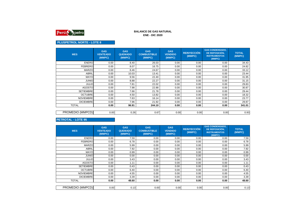

## **PLUSPETROL NORTE - LOTE 8**

| <b>MES</b>       | <b>GAS</b><br><b>VENTEADO</b><br>(MMPC) | <b>GAS</b><br><b>QUEMADO</b><br>(MMPC) | <b>GAS</b><br><b>COMBUSTIBLE</b><br>(MMPC) | <b>GAS</b><br><b>VENDIDO</b><br>(MMPC) | <b>REINYECCIÓN</b><br>(MMPC) | <b>GAS CONDENSADO.</b><br>DE REPOSICIÓN.<br><b>INSTRUMENTOS</b><br>(MMPC) | <b>TOTAL</b><br>(MMPC) |
|------------------|-----------------------------------------|----------------------------------------|--------------------------------------------|----------------------------------------|------------------------------|---------------------------------------------------------------------------|------------------------|
| <b>ENERO</b>     | 0.00                                    | 8.40                                   | 26.03                                      | 0.00                                   | 0.00                         | 0.00                                                                      | 34.43                  |
| <b>FEBRERO</b>   | 0.00                                    | 8.07                                   | 16.75                                      | 0.00                                   | 0.00                         | 0.00                                                                      | 24.82                  |
| <b>MARZO</b>     | 0.00                                    | 8.46                                   | 24.67                                      | 0.00                                   | 0.00                         | 0.00                                                                      | 33.12                  |
| <b>ABRIL</b>     | 0.00                                    | 10.03                                  | 13.41                                      | 0.00                                   | 0.00                         | 0.00                                                                      | 23.44                  |
| <b>MAYO</b>      | 0.00                                    | 9.56                                   | 22.40                                      | 0.00                                   | 0.00                         | 0.00                                                                      | 31.95                  |
| <b>JUNIO</b>     | 0.00                                    | 8.88                                   | 22.27                                      | 0.00                                   | 0.00                         | 0.00                                                                      | 31.15                  |
| <b>JULIO</b>     | 0.00                                    | 7.81                                   | 22.02                                      | 0.00                                   | 0.00                         | 0.00                                                                      | 29.83                  |
| <b>AGOSTO</b>    | 0.00                                    | 7.98                                   | 22.88                                      | 0.00                                   | 0.00                         | 0.00                                                                      | 30.87                  |
| <b>SETIEMBRE</b> | 0.00                                    | 7.66                                   | 21.78                                      | 0.00                                   | 0.00                         | 0.00                                                                      | 29.44                  |
| <b>OCTUBRE</b>   | 0.00                                    | 4.50                                   | 13.82                                      | 0.00                                   | 0.00                         | 0.00                                                                      | 18.32                  |
| <b>NOVIEMBRE</b> | 0.00                                    | 7.63                                   | 16.14                                      | 0.00                                   | 0.00                         | 0.00                                                                      | 23.77                  |
| <b>DICIEMBRE</b> | 0.00                                    | 7.96                                   | 21.92                                      | 0.00                                   | 0.00                         | 0.00                                                                      | 29.87                  |
| <b>TOTAL</b>     | 0.00                                    | 96.91                                  | 244.10                                     | 0.00                                   | 0.00                         | 0.00                                                                      | 341.01                 |
|                  |                                         |                                        |                                            |                                        |                              |                                                                           |                        |
| PROMEDIO (MMPCD) | 0.00                                    | 0.26                                   | 0.67                                       | 0.00                                   | 0.00                         | 0.00                                                                      | 0.93                   |

# **PETROTAL - LOTE 95**

| <b>MES</b>       | <b>GAS</b><br><b>VENTEADO</b><br>(MMPC) | <b>GAS</b><br><b>QUEMADO</b><br>(MMPC) | <b>GAS</b><br><b>COMBUSTIBLE</b><br>(MMPC) | <b>GAS</b><br><b>VENDIDO</b><br>(MMPC) | <b>REINYECCIÓN</b><br>(MMPC) | <b>GAS CONDENSADO,</b><br>DE REPOSICIÓN,<br><b>INSTRUMENTOS</b><br>(MMPC) | <b>TOTAL</b><br>(MMPC) |
|------------------|-----------------------------------------|----------------------------------------|--------------------------------------------|----------------------------------------|------------------------------|---------------------------------------------------------------------------|------------------------|
| <b>ENERO</b>     | 0.00                                    | 7.59                                   | 0.00                                       | 0.00                                   | 0.00                         | 0.00                                                                      | 7.59                   |
| <b>FEBRERO</b>   | 0.00                                    | 6.78                                   | 0.00                                       | 0.00                                   | 0.00                         | 0.00                                                                      | 6.78                   |
| <b>MARZO</b>     | 0.00                                    | 5.99                                   | 0.00                                       | 0.00                                   | 0.00                         | 0.00                                                                      | 5.99                   |
| <b>ABRIL</b>     | 0.00                                    | 7.92                                   | 0.00                                       | 0.00                                   | 0.00                         | 0.00                                                                      | 7.92                   |
| <b>MAYO</b>      | 0.00                                    | 0.99                                   | 0.00                                       | 0.00<br>0.00                           |                              | 0.00                                                                      | 0.99                   |
| <b>JUNIO</b>     | 0.00                                    | 0.00                                   | 0.00<br>0.00<br>0.00                       |                                        | 0.00                         | 0.00                                                                      |                        |
| <b>JULIO</b>     | 0.00                                    | 3.43                                   | 0.00                                       | 0.00                                   | 0.00                         | 0.00                                                                      | 3.43                   |
| <b>AGOSTO</b>    | 0.00                                    | 1.11                                   | 0.00                                       | 0.00                                   | 0.00                         | 0.00                                                                      | 1.11                   |
| <b>SETIEMBRE</b> | 0.00                                    | 0.43                                   | 0.00                                       | 0.00                                   | 0.00                         | 0.00                                                                      | 0.43                   |
| <b>OCTUBRE</b>   | 0.00                                    | 6.40                                   | 0.00                                       | 0.00                                   | 0.00                         | 0.00                                                                      | 6.40                   |
| <b>NOVIEMBRE</b> | 0.00                                    | 4.55                                   | 0.00                                       | 0.00                                   | 0.00                         | 0.00                                                                      | 4.55                   |
| <b>DICIEMBRE</b> | 0.00                                    | 3.39                                   | 0.00                                       | 0.00                                   | 0.00                         | 0.00                                                                      | 3.39                   |
| <b>TOTAL</b>     | 0.00                                    | 48.60                                  | 0.00                                       | 0.00                                   | 0.00                         | 0.00                                                                      | 48.60                  |
|                  |                                         |                                        |                                            |                                        |                              |                                                                           |                        |
| PROMEDIO (MMPCD) | 0.00                                    | 0.13                                   | 0.00                                       | 0.00                                   | 0.00                         | 0.00                                                                      | 0.13                   |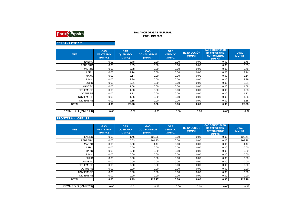

### **ENE - DIC 2020BALANCE DE GAS NATURAL**

# **CEPSA - LOTE 131**

| <b>MES</b>       | <b>GAS</b><br><b>VENTEADO</b><br>(MMPC) | <b>GAS</b><br><b>QUEMADO</b><br>(MMPC) | <b>GAS</b><br><b>COMBUSTIBLE</b><br>(MMPC) | <b>GAS</b><br><b>VENDIDO</b><br>(MMPC) | <b>GAS CONDENSADO,</b><br><b>REINYECCIÓN</b><br>DE REPOSICIÓN.<br>(MMPC)<br><b>INSTRUMENTOS</b><br>(MMPC) |      | <b>TOTAL</b><br>(MMPC) |
|------------------|-----------------------------------------|----------------------------------------|--------------------------------------------|----------------------------------------|-----------------------------------------------------------------------------------------------------------|------|------------------------|
| <b>ENERO</b>     | 0.00                                    | 2.78                                   | 0.00                                       | 0.00                                   | 0.00                                                                                                      | 0.00 | 2.78                   |
| <b>FEBRERO</b>   | 0.00                                    | 2.35                                   | 0.00                                       | 0.00                                   | 0.00                                                                                                      | 0.00 | 2.35                   |
| <b>MARZO</b>     | 0.00                                    | 2.78                                   | 0.00                                       | 0.00                                   | 0.00                                                                                                      | 0.00 | 2.78                   |
| <b>ABRIL</b>     | 0.00                                    | 2.14                                   | 0.00                                       | 0.00                                   | 0.00                                                                                                      | 0.00 | 2.14                   |
| <b>MAYO</b>      | 0.00                                    | 2.14                                   | 0.00                                       | 0.00                                   | 0.00                                                                                                      | 0.00 | 2.14                   |
| <b>JUNIO</b>     | 0.00                                    | 2.39                                   | 0.00<br>0.00                               |                                        | 0.00                                                                                                      | 0.00 | 2.39                   |
| <b>JULIO</b>     | 0.00                                    | 2.01                                   | 0.00                                       | 0.00                                   | 0.00                                                                                                      | 0.00 | 2.01                   |
| <b>AGOSTO</b>    | 0.00                                    | 1.58                                   | 0.00                                       | 0.00                                   | 0.00                                                                                                      | 0.00 | 1.58                   |
| <b>SETIEMBRE</b> | 0.00                                    | 1.38                                   | 0.00                                       | 0.00                                   | 0.00                                                                                                      | 0.00 | 1.38                   |
| <b>OCTUBRE</b>   | 0.00                                    | 1.72                                   | 0.00                                       | 0.00                                   | 0.00                                                                                                      | 0.00 | 1.72                   |
| <b>NOVIEMBRE</b> | 0.00                                    | 1.86                                   | 0.00                                       | 0.00                                   | 0.00                                                                                                      | 0.00 | 1.86                   |
| <b>DICIEMBRE</b> | 0.00                                    | 2.15                                   | 0.00                                       | 0.00                                   | 0.00                                                                                                      | 0.00 | 2.15                   |
| <b>TOTAL</b>     | 0.00                                    | 25.28                                  | 0.00                                       | 0.00                                   | 0.00                                                                                                      | 0.00 | 25.28                  |
|                  |                                         |                                        |                                            |                                        |                                                                                                           |      |                        |
| PROMEDIO (MMPCD) | 0.00                                    | 0.07                                   | 0.00                                       | 0.00                                   | 0.00                                                                                                      | 0.00 | 0.07                   |

### **FRONTERA - LOTE 192**

| <b>MES</b>       | <b>GAS</b><br><b>VENTEADO</b><br>(MMPC) | <b>GAS</b><br><b>QUEMADO</b><br>(MMPC) | <b>GAS</b><br><b>COMBUSTIBLE</b><br>(MMPC) | <b>GAS</b><br><b>VENDIDO</b><br>(MMPC) | <b>REINYECCIÓN</b><br>(MMPC) | <b>GAS CONDENSADO,</b><br>DE REPOSICIÓN,<br><b>INSTRUMENTOS</b><br>(MMPC) |        |
|------------------|-----------------------------------------|----------------------------------------|--------------------------------------------|----------------------------------------|------------------------------|---------------------------------------------------------------------------|--------|
| <b>ENERO</b>     | 0.00                                    | 1.46                                   | 120.95<br>0.00<br>0.00<br>0.00             |                                        | 122.41                       |                                                                           |        |
| <b>FEBRERO</b>   | 0.00                                    | 0.53                                   | 101.75                                     | 0.00                                   | 0.00                         | 0.00                                                                      | 102.28 |
| <b>MARZO</b>     | 0.00                                    | 0.00                                   | 4.47                                       | 0.00                                   | 0.00                         | 0.00                                                                      | 4.47   |
| <b>ABRIL</b>     | 0.00                                    | 0.00                                   | 0.00                                       | 0.00                                   | 0.00                         | 0.00                                                                      | 0.00   |
| <b>MAYO</b>      | 0.00                                    | 0.00                                   | 0.00                                       | 0.00                                   | 0.00                         | 0.00                                                                      | 0.00   |
| <b>JUNIO</b>     | 0.00                                    | 0.00                                   | 0.00                                       | 0.00                                   | 0.00                         | 0.00                                                                      | 0.00   |
| <b>JULIO</b>     | 0.00                                    | 0.00                                   | 0.00                                       | 0.00                                   | 0.00                         | 0.00                                                                      | 0.00   |
| <b>AGOSTO</b>    | 0.00                                    | 0.00                                   | 0.00                                       | 0.00                                   | 0.00                         | 0.00                                                                      | 0.00   |
| <b>SETIEMBRE</b> | 0.00                                    | 0.00                                   | 0.00                                       | 0.00                                   | 0.00                         | 0.00                                                                      | 0.00   |
| <b>OCTUBRE</b>   | 0.00                                    | 0.00                                   | 0.00                                       | 0.00                                   | 0.00                         | 0.00                                                                      | 0.00   |
| <b>NOVIEMBRE</b> | 0.00                                    | 0.00                                   | 0.00                                       | 0.00                                   | 0.00                         | 0.00                                                                      | 0.00   |
| <b>DICIEMBRE</b> | 0.00                                    | 0.00                                   | 0.00                                       | 0.00                                   | 0.00<br>0.00                 |                                                                           | 0.00   |
| <b>TOTAL</b>     | 0.00                                    | 1.99                                   | 227.17                                     | 0.00                                   | 0.00                         | 0.00                                                                      | 229.16 |
|                  |                                         |                                        |                                            |                                        |                              |                                                                           |        |
| PROMEDIO (MMPCD) | 0.00                                    | 0.01                                   | 0.62                                       | 0.00                                   | 0.00                         | 0.00                                                                      | 0.63   |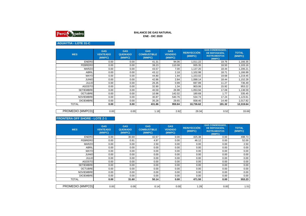

# **AGUAYTIA - LOTE 31-C**

| <b>MES</b>       | <b>GAS</b><br><b>VENTEADO</b><br>(MMPC) | <b>GAS</b><br><b>QUEMADO</b><br>(MMPC) | <b>GAS</b><br><b>COMBUSTIBLE</b><br>(MMPC) | <b>GAS</b><br><b>VENDIDO</b><br>(MMPC) | <b>REINYECCIÓN</b><br>(MMPC) | <b>GAS CONDENSADO.</b><br>DE REPOSICIÓN,<br><b>INSTRUMENTOS</b><br>(MMPC) | <b>TOTAL</b><br>(MMPC) |
|------------------|-----------------------------------------|----------------------------------------|--------------------------------------------|----------------------------------------|------------------------------|---------------------------------------------------------------------------|------------------------|
| <b>ENERO</b>     | 0.00                                    | 0.00                                   | 41.31                                      | 94.06                                  | 1,011.22                     | 19.76                                                                     | 1,166.35               |
| <b>FEBRERO</b>   | 0.00                                    | 0.00                                   | 39.23                                      | 110.08                                 | 935.35                       | 18.50                                                                     | 1,103.16               |
| <b>MARZO</b>     | 0.00                                    | 0.00                                   | 43.57                                      | 7.00                                   | 1,137.20                     | 18.44                                                                     | 1,206.21               |
| <b>ABRIL</b>     | 0.00                                    | 0.00                                   | 43.12                                      | 2.18                                   | 1,102.98                     | 18.71                                                                     | 1,166.99               |
| <b>MAYO</b>      | 0.00                                    | 0.00                                   | 44.80                                      | 1.94                                   | 1,153.02                     | 19.68                                                                     | 1,219.45               |
| <b>JUNIO</b>     | 0.00                                    | 0.00                                   | 42.86                                      | 2.84                                   | 1,088.14                     | 18.44                                                                     | 1,152.28               |
| <b>JULIO</b>     | 0.00                                    | 0.00                                   | 697.89<br>26.35<br>0.99                    |                                        | 11.27                        | 736.49                                                                    |                        |
| <b>AGOSTO</b>    | 0.00                                    | 0.00                                   | 32.90                                      | 1.34                                   | 903.06                       | 15.92                                                                     | 953.22                 |
| <b>SETIEMBRE</b> | 0.00                                    | 0.00                                   | 40.59                                      | 26.98                                  | 1,053.94                     | 17.09                                                                     | 1,138.59               |
| <b>OCTUBRE</b>   | 0.00                                    | 0.00                                   | 10.98                                      | 142.02                                 | 180.69                       | 1.77                                                                      | 335.45                 |
| <b>NOVIEMBRE</b> | 0.00                                    | 0.00                                   | 30.87                                      | 540.76                                 | 534.74                       | 17.24                                                                     | 1,123.61               |
| <b>DICIEMBRE</b> | 0.00                                    | 0.00                                   | 35.28                                      | 29.65                                  | 938.40                       | 14.49                                                                     | 1,017.82               |
| <b>TOTAL</b>     | 0.00                                    | 0.00                                   | 431.86                                     | 959.84                                 | 10,736.62                    | 191.32                                                                    | 12,319.64              |
|                  |                                         |                                        |                                            |                                        |                              |                                                                           |                        |
| PROMEDIO (MMPCD) | 0.00                                    | 0.00                                   | 1.18                                       | 2.62                                   | 29.34                        | 0.52                                                                      | 33.66                  |

## **FRONTERA OFF SHORE - LOTE Z-1**

| <b>MES</b>       | <b>GAS</b><br><b>VENTEADO</b><br>(MMPC) | <b>GAS</b><br><b>QUEMADO</b><br>(MMPC) | <b>GAS</b><br><b>COMBUSTIBLE</b><br>(MMPC) | <b>GAS</b><br><b>VENDIDO</b><br>(MMPC) | <b>REINYECCIÓN</b><br>(MMPC) | <b>GAS CONDENSADO,</b><br>DE REPOSICIÓN,<br><b>INSTRUMENTOS</b><br>(MMPC) | <b>TOTAL</b><br>(MMPC) |
|------------------|-----------------------------------------|----------------------------------------|--------------------------------------------|----------------------------------------|------------------------------|---------------------------------------------------------------------------|------------------------|
| <b>ENERO</b>     | 0.00                                    | 30.69                                  | 425.38<br>42.67<br>0.00<br>0.00            |                                        | 498.73                       |                                                                           |                        |
| <b>FEBRERO</b>   | 0.00                                    | 0.91                                   | 4.97                                       | 0.00                                   | 46.12                        | 0.00                                                                      | 52.00                  |
| <b>MARZO</b>     | 0.00                                    | 0.00                                   | 2.50                                       | 0.00                                   | 0.00                         | 0.00                                                                      | 2.50                   |
| <b>ABRIL</b>     | 0.00                                    | 0.00                                   | 0.00                                       | 0.00                                   | 0.00                         | 0.00                                                                      | 0.00                   |
| <b>MAYO</b>      | 0.00                                    | 0.00                                   | 0.00                                       | 0.00                                   | 0.00                         | 0.00                                                                      | 0.00                   |
| <b>JUNIO</b>     | 0.00                                    | 0.00                                   | 0.00                                       | 0.00                                   | 0.00                         | 0.00                                                                      | 0.00                   |
| <b>JULIO</b>     | 0.00                                    | 0.00                                   | 0.00                                       | 0.00                                   | 0.00                         | 0.00                                                                      | 0.00                   |
| <b>AGOSTO</b>    | 0.00                                    | 0.00                                   | 0.00                                       | 0.00                                   | 0.00                         | 0.00                                                                      | 0.00                   |
| <b>SETIEMBRE</b> | 0.00                                    | 0.00                                   | 0.00                                       | 0.00                                   | 0.00                         | 0.00                                                                      | 0.00                   |
| <b>OCTUBRE</b>   | 0.00                                    | 0.00                                   | 0.00                                       | 0.00                                   | 0.00                         | 0.00                                                                      | 0.00                   |
| <b>NOVIEMBRE</b> | 0.00                                    | 0.00                                   | 0.00                                       | 0.00                                   | 0.00                         | 0.00                                                                      | 0.00                   |
| <b>DICIEMBRE</b> | 0.00                                    | 0.00                                   | 0.00                                       | 0.00                                   | 0.00                         | 0.00                                                                      | 0.00                   |
| <b>TOTAL</b>     | 0.00                                    | 31.60                                  | 50.14                                      | 0.00                                   | 471.50                       | 0.00                                                                      | 553.23                 |
|                  |                                         |                                        |                                            |                                        |                              |                                                                           |                        |
| PROMEDIO (MMPCD) | 0.00                                    | 0.09                                   | 0.14                                       | 0.00                                   | 1.29                         | 0.00                                                                      | 1.51                   |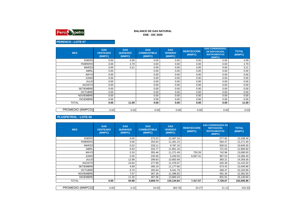

## **PERENCO - LOTE 67**

| <b>MES</b>       | <b>GAS</b><br><b>VENTEADO</b><br>(MMPC) | <b>GAS</b><br><b>QUEMADO</b><br>(MMPC) | <b>GAS</b><br><b>COMBUSTIBLE</b><br>(MMPC) | <b>GAS</b><br><b>VENDIDO</b><br>(MMPC) | <b>REINYECCIÓN</b><br>(MMPC) | <b>GAS CONDENSADO,</b><br>DE REPOSICIÓN,<br><b>INSTRUMENTOS</b><br>(MMPC) | <b>TOTAL</b><br>(MMPC) |
|------------------|-----------------------------------------|----------------------------------------|--------------------------------------------|----------------------------------------|------------------------------|---------------------------------------------------------------------------|------------------------|
| <b>ENERO</b>     | 0.00                                    | 4.09                                   | 0.00                                       | 0.00                                   | 0.00                         | 0.00                                                                      | 4.09                   |
| <b>FEBRERO</b>   | 0.00                                    | 3.79                                   | 0.00                                       | 0.00                                   | 0.00                         | 0.00                                                                      | 3.79                   |
| <b>MARZO</b>     | 0.00                                    | 3.21                                   | 0.00                                       | 0.00                                   | 0.00                         | 0.00                                                                      | 3.21                   |
| <b>ABRIL</b>     | 0.00                                    |                                        | 0.00                                       | 0.00                                   | 0.00                         | 0.00                                                                      | 0.00                   |
| <b>MAYO</b>      | 0.00                                    |                                        | 0.00<br>0.00<br>0.00                       |                                        | 0.00                         | 0.00                                                                      |                        |
| <b>JUNIO</b>     | 0.00                                    |                                        | 0.00                                       | 0.00                                   | 0.00                         | 0.00                                                                      | 0.00                   |
| <b>JULIO</b>     | 0.00                                    |                                        | 0.00                                       | 0.00                                   | 0.00                         | 0.00                                                                      | 0.00                   |
| <b>AGOSTO</b>    | 0.00                                    |                                        | 0.00                                       | 0.00                                   | 0.00                         | 0.00                                                                      | 0.00                   |
| <b>SETIEMBRE</b> | 0.00                                    |                                        | 0.00                                       | 0.00                                   | 0.00                         | 0.00                                                                      | 0.00                   |
| <b>OCTUBRE</b>   | 0.00                                    |                                        | 0.00                                       | 0.00                                   | 0.00                         | 0.00                                                                      | 0.00                   |
| <b>NOVIEMBRE</b> | 0.00                                    |                                        | 0.00                                       | 0.00                                   | 0.00                         | 0.00                                                                      | 0.00                   |
| <b>DICIEMBRE</b> | 0.00                                    |                                        | 0.00                                       | 0.00                                   | 0.00                         | 0.00                                                                      | 0.00                   |
| <b>TOTAL</b>     | 0.00                                    | 11.09                                  | 0.00                                       | 0.00                                   | 0.00                         | 0.00                                                                      | 11.09                  |
|                  |                                         |                                        |                                            |                                        |                              |                                                                           |                        |
| PROMEDIO (MMPCD) | 0.00                                    | 0.03                                   | 0.00                                       | 0.00                                   | 0.00                         | 0.00                                                                      | 0.03                   |

## **PLUSPETROL - LOTE 56**

| <b>MES</b>       | <b>GAS</b><br><b>VENTEADO</b><br>(MMPC) | <b>GAS</b><br><b>QUEMADO</b><br>(MMPC) | <b>GAS</b><br><b>COMBUSTIBLE</b><br>(MMPC) | <b>GAS</b><br><b>VENDIDO</b><br>(MMPC) | <b>REINYECCIÓN</b><br>(MMPC) | <b>GAS CONDENSADO DE</b><br><b>REPOSICIÓN.</b><br><b>INSTRUMENTOS</b><br>(MMPC) | <b>TOTAL</b><br>(MMPC) |
|------------------|-----------------------------------------|----------------------------------------|--------------------------------------------|----------------------------------------|------------------------------|---------------------------------------------------------------------------------|------------------------|
| <b>ENERO</b>     |                                         | 0.00                                   | 273.22                                     | 12,487.16                              |                              | 577.92                                                                          | 13,338.30              |
| <b>FEBRERO</b>   |                                         | 0.06                                   | 255.64                                     | 11,351.23                              |                              | 564.47                                                                          | 12,171.40              |
| <b>MARZO</b>     |                                         | 0.02                                   | 228.11                                     | 9,787.16                               |                              | 630.01                                                                          | 10,645.30              |
| <b>ABRIL</b>     |                                         | 0.64                                   | 333.77                                     | 11,851.16                              |                              | 721.03                                                                          | 12,906.60              |
| <b>MAYO</b>      |                                         | 0.33                                   | 355.46                                     | 11,271.49                              | 720.26                       | 742.96                                                                          | 13,090.50              |
| <b>JUNIO</b>     |                                         | 0.35                                   | 240.56                                     | 5,430.55                               | 6,697.41                     | 997.53                                                                          | 13,366.40              |
| <b>JULIO</b>     |                                         | 12.98                                  | 299.63                                     | 13,663.48                              |                              | 383.21                                                                          | 14,359.30              |
| <b>AGOSTO</b>    |                                         | 10.84                                  | 277.90                                     | 11,476.07                              |                              | 645.39                                                                          | 12,410.20              |
| <b>SETIEMBRE</b> |                                         | 4.69                                   | 285.19                                     | 11,177.60                              |                              | 573.42                                                                          | 12,040.90              |
| <b>OCTUBRE</b>   |                                         | 6.70                                   | 265.94                                     | 9,441.79                               |                              | 469.47                                                                          | 10,183.90              |
| <b>NOVIEMBRE</b> |                                         | 7.07                                   | 367.26                                     | 11,396.83                              |                              | 591.34                                                                          | 12,362.50              |
| <b>DICIEMBRE</b> |                                         | 11.30                                  | 487.06                                     | 13,800.33                              |                              | 831.91                                                                          | 15,130.60              |
| <b>TOTAL</b>     | 0.00                                    | 54.98                                  | 3,669.74                                   | 133,134.84                             | 7,417.67                     | 7,728.67                                                                        | 152,005.90             |
| PROMEDIO (MMPCD) | 0.00                                    | 0.15                                   | 10.03                                      | 363.76                                 | 20.27                        | 21.12                                                                           | 415.32                 |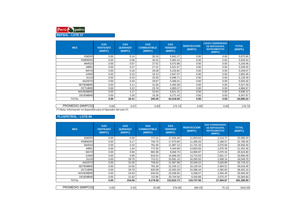

**MESGAS VENTEADO (MMPC)GAS QUEMADO (MMPC)GAS COMBUSTIBLE(MMPC)GAS VENDIDO (MMPC)REINYECCIÓN(MMPC)(\*)GAS CONDENSADO DE REPOSICIÓN, INSTRUMENTOS(MMPC)TOTAL (MMPC)**ENERO 0.00 | 0.14 | 30.18 | 5,842.27 | 0.00 | 0.00 | 5,872.60 5,933.54 FEBRERO 0.00 | 0.08 | 30.32 | 5,903.15 | 0.00 | 0.00 | 5,933.54 5,100.46 MARZO| 0.00 | 0.07 | 27.52 | 5,072.88 | 0.00 | 0.00 | 5,100.46 5,549.25 ABRIL 0.00 0.27 27.31 5,521.67 0.00 0.00 5,549.255,259.07 MAYO| 0.00 | 0.16 | 26.09 | 5,232.82 | 0.00 | 0.00 | 5,259.07 2,663.35 JUNIO 0.00 0.15 16.13 2,647.07 0.00 0.00 2,663.356,135.49 JULIO 0.00 6.43 30.35 6,098.71 0.00 0.00 6,135.495,503.32 AGOSTO $\begin{matrix} \hspace{1.6cm} \rule{1.3cm}{0.2cm} \hspace{1.2cm} 0.00 \hspace{1.2cm} \rule{1.3cm}{0.2cm} \end{matrix} \hspace{1.2cm} 5.503.32$ 5,527.49 SETIEMBRE 0.00 | 3.11 | 31.00 | 5,493.38 | 0.00 | 0.00 | 5,527.49 4,984.57 OCTUBRE| 0.00 | 3.22 | 25.78 | 4,955.57 | 0.00 | 0.00 | 4,984.57 5,848.12 NOVIEMBRE 0.00 4.17 32.64 5,811.31 0.00 0.00 5,848.126,307.97 DICIEMBRE 0.00 | 3.26 | 33.28 | 6,271.43 | 0.00 | 6,307.97 64,685.22 TOTAL**0.00 26.41 340.25 64,318.56 0.00 0.00 64,685.22**

| MPCD)<br><b>PROMEDIC</b><br>(MMP                                                                   | 0.001 | 0.07 | $\sim$<br>ບ.ບບ | 175.73 | 0.001 | 0.001 | $17C$ $71$<br>0.70 ، |  |
|----------------------------------------------------------------------------------------------------|-------|------|----------------|--------|-------|-------|----------------------|--|
| $'$ <sup>*</sup> ) Nota.<br>$ -$<br>n no disponible para el Operador del Lote 57.<br>: Información |       |      |                |        |       |       |                      |  |

#### **PLUSPETROL - LOTE 88**

| <b>MES</b>       | <b>GAS</b><br><b>VENTEADO</b><br>(MMPC) | <b>GAS</b><br><b>QUEMADO</b><br>(MMPC) | <b>GAS</b><br><b>COMBUSTIBLE</b><br>(MMPC)  | <b>GAS</b><br><b>REINYECCIÓN</b><br><b>VENDIDO</b><br>(MMPC)<br>(MMPC) |            | <b>GAS CONDENSADO,</b><br>DE REPOSICIÓN.<br><b>INSTRUMENTOS</b><br>(MMPC) | <b>TOTAL</b><br>(MMPC) |
|------------------|-----------------------------------------|----------------------------------------|---------------------------------------------|------------------------------------------------------------------------|------------|---------------------------------------------------------------------------|------------------------|
| <b>ENERO</b>     | 0.00                                    | 0.00                                   | 777.41                                      | 17,534.39                                                              | 11,653.63  | 2,114.77                                                                  | 32,080.20              |
| <b>FEBRERO</b>   | 0.00                                    | 0.17                                   | 740.70                                      | 17,573.60                                                              | 11,306.26  | 2,168.57                                                                  | 31,789.30              |
| <b>MARZO</b>     | 0.00                                    | 0.32                                   | 761.95                                      | 11,987.14                                                              | 11,731.33  | 2,075.66                                                                  | 26,556.40              |
| ABRIL            | 0.00                                    | 1.04                                   | 772.35<br>5,344.89<br>13,663.83<br>1,670.29 |                                                                        |            | 21,452.40                                                                 |                        |
| <b>MAYO</b>      | 0.00                                    | 0.66                                   | 882.98<br>8,658.76<br>14,906.97             |                                                                        | 2,075.43   | 26,524.80                                                                 |                        |
| <b>JUNIO</b>     | 0.00                                    | 0.80                                   | 816.02                                      | 15,658.28                                                              | 13,714.03  | 2,501.17                                                                  | 32,690.30              |
| <b>JULIO</b>     | 0.00                                    | 29.70                                  | 715.21                                      | 20,581.10                                                              | 10,265.55  | 2,458.14                                                                  | 34,049.70              |
| <b>AGOSTO</b>    | 0.00                                    | 31.09                                  | 749.03                                      | 21,957.96                                                              | 10,349.22  | 2,630.80                                                                  | 35,718.10              |
| <b>SETIEMBRE</b> | 0.00                                    | 14.05                                  | 763.28                                      | 22,245.12                                                              | 10,129.34  | 2,464.51                                                                  | 35,616.30              |
| <b>OCTUBRE</b>   | 0.00                                    | 29.78                                  | 835.99                                      | 22,933.29                                                              | 10,388.44  | 2,265.60                                                                  | 36,453.10              |
| <b>NOVIEMBRE</b> | 0.00                                    | 24.63                                  | 640.50                                      | 25,636.65                                                              | 6,298.07   | 2,494.45                                                                  | 35,094.30              |
| <b>DICIEMBRE</b> | 0.00                                    | 21.82                                  | 722.86                                      | 20,704.56                                                              | 9,340.89   | 2,575.47                                                                  | 33,365.60              |
| <b>TOTAL</b>     | 0.00                                    | 154.06                                 | 9,178.28                                    | 210,815.73                                                             | 133,747.56 | 27,494.87                                                                 | 381,390.50             |
|                  |                                         |                                        |                                             |                                                                        |            |                                                                           |                        |
| PROMEDIO (MMPCD) | 0.00                                    | 0.42                                   | 25.08                                       | 576.00                                                                 | 365.43     | 75.12                                                                     | 1042.05                |